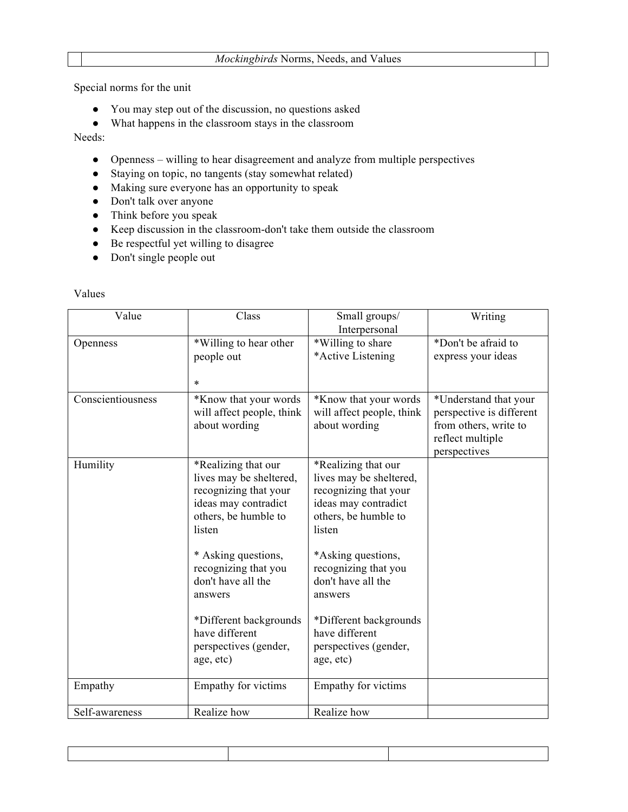Special norms for the unit

- You may step out of the discussion, no questions asked
- What happens in the classroom stays in the classroom

Needs:

- Openness willing to hear disagreement and analyze from multiple perspectives
- Staying on topic, no tangents (stay somewhat related)
- Making sure everyone has an opportunity to speak
- Don't talk over anyone
- Think before you speak
- Keep discussion in the classroom-don't take them outside the classroom
- Be respectful yet willing to disagree
- Don't single people out

## Values

| Value             | Class                                                                                                                                                                                                                                                                                               | Small groups/<br>Interpersonal                                                                                                                                                                                                                                                                     | Writing                                                                                                        |
|-------------------|-----------------------------------------------------------------------------------------------------------------------------------------------------------------------------------------------------------------------------------------------------------------------------------------------------|----------------------------------------------------------------------------------------------------------------------------------------------------------------------------------------------------------------------------------------------------------------------------------------------------|----------------------------------------------------------------------------------------------------------------|
| Openness          | *Willing to hear other<br>people out<br>$\ast$                                                                                                                                                                                                                                                      | *Willing to share<br>*Active Listening                                                                                                                                                                                                                                                             | *Don't be afraid to<br>express your ideas                                                                      |
| Conscientiousness | *Know that your words<br>will affect people, think<br>about wording                                                                                                                                                                                                                                 | *Know that your words<br>will affect people, think<br>about wording                                                                                                                                                                                                                                | *Understand that your<br>perspective is different<br>from others, write to<br>reflect multiple<br>perspectives |
| Humility          | *Realizing that our<br>lives may be sheltered,<br>recognizing that your<br>ideas may contradict<br>others, be humble to<br>listen<br>* Asking questions,<br>recognizing that you<br>don't have all the<br>answers<br>*Different backgrounds<br>have different<br>perspectives (gender,<br>age, etc) | *Realizing that our<br>lives may be sheltered,<br>recognizing that your<br>ideas may contradict<br>others, be humble to<br>listen<br>*Asking questions,<br>recognizing that you<br>don't have all the<br>answers<br>*Different backgrounds<br>have different<br>perspectives (gender,<br>age, etc) |                                                                                                                |
| Empathy           | Empathy for victims                                                                                                                                                                                                                                                                                 | Empathy for victims                                                                                                                                                                                                                                                                                |                                                                                                                |
| Self-awareness    | Realize how                                                                                                                                                                                                                                                                                         | Realize how                                                                                                                                                                                                                                                                                        |                                                                                                                |